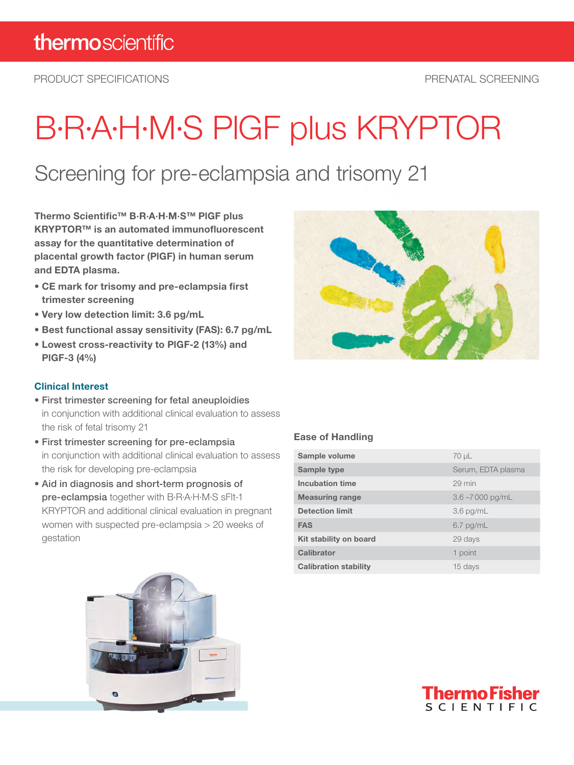PRODUCT SPECIFICATIONS PRENATAL SCREENING

# B·R·A·H·M·S PlGF plus KRYPTOR

### Screening for pre-eclampsia and trisomy 21

Thermo Scientific™ B·R·A·H·M·S™ PlGF plus KRYPTOR™ is an automated immunofluorescent assay for the quantitative determination of placental growth factor (PlGF) in human serum and EDTA plasma.

- CE mark for trisomy and pre-eclampsia first trimester screening
- Very low detection limit: 3.6 pg/mL
- Best functional assay sensitivity (FAS): 6.7 pg/mL
- Lowest cross-reactivity to PlGF-2 (13%) and PlGF-3 (4%)

#### Clinical Interest

- First trimester screening for fetal aneuploidies in conjunction with additional clinical evaluation to assess the risk of fetal trisomy 21
- First trimester screening for pre-eclampsia in conjunction with additional clinical evaluation to assess the risk for developing pre-eclampsia
- Aid in diagnosis and short-term prognosis of pre-eclampsia together with B·R·A·H·M·S sFlt-1 KRYPTOR and additional clinical evaluation in pregnant women with suspected pre-eclampsia > 20 weeks of gestation

#### Ease of Handling

| Sample volume                | 70 µL              |
|------------------------------|--------------------|
| Sample type                  | Serum, EDTA plasma |
| Incubation time              | 29 min             |
| <b>Measuring range</b>       | $3.6 - 7000$ pg/mL |
| <b>Detection limit</b>       | $3.6$ pg/mL        |
| <b>FAS</b>                   | $6.7$ pg/mL        |
| Kit stability on board       | 29 days            |
| Calibrator                   | 1 point            |
| <b>Calibration stability</b> | 15 days            |